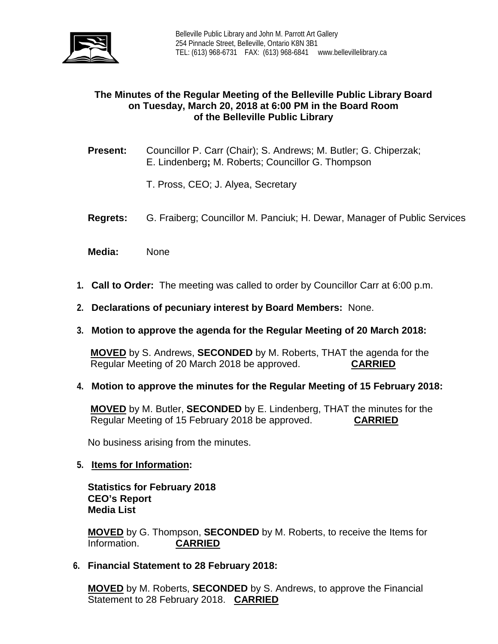

# **The Minutes of the Regular Meeting of the Belleville Public Library Board on Tuesday, March 20, 2018 at 6:00 PM in the Board Room of the Belleville Public Library**

- **Present:** Councillor P. Carr (Chair); S. Andrews; M. Butler; G. Chiperzak; E. Lindenberg**;** M. Roberts; Councillor G. Thompson
	- T. Pross, CEO; J. Alyea, Secretary
- **Regrets:** G. Fraiberg; Councillor M. Panciuk; H. Dewar, Manager of Public Services
- **Media:** None
- **1. Call to Order:** The meeting was called to order by Councillor Carr at 6:00 p.m.
- **2. Declarations of pecuniary interest by Board Members:** None.
- **3. Motion to approve the agenda for the Regular Meeting of 20 March 2018:**

**MOVED** by S. Andrews, **SECONDED** by M. Roberts, THAT the agenda for the Regular Meeting of 20 March 2018 be approved. **CARRIED**

**4. Motion to approve the minutes for the Regular Meeting of 15 February 2018:**

**MOVED** by M. Butler, **SECONDED** by E. Lindenberg, THAT the minutes for the Regular Meeting of 15 February 2018 be approved. **CARRIED**

No business arising from the minutes.

#### **5. Items for Information:**

**Statistics for February 2018 CEO's Report Media List**

**MOVED** by G. Thompson, **SECONDED** by M. Roberts, to receive the Items for Information. **CARRIED**

**6. Financial Statement to 28 February 2018:**

**MOVED** by M. Roberts, **SECONDED** by S. Andrews, to approve the Financial Statement to 28 February 2018. **CARRIED**